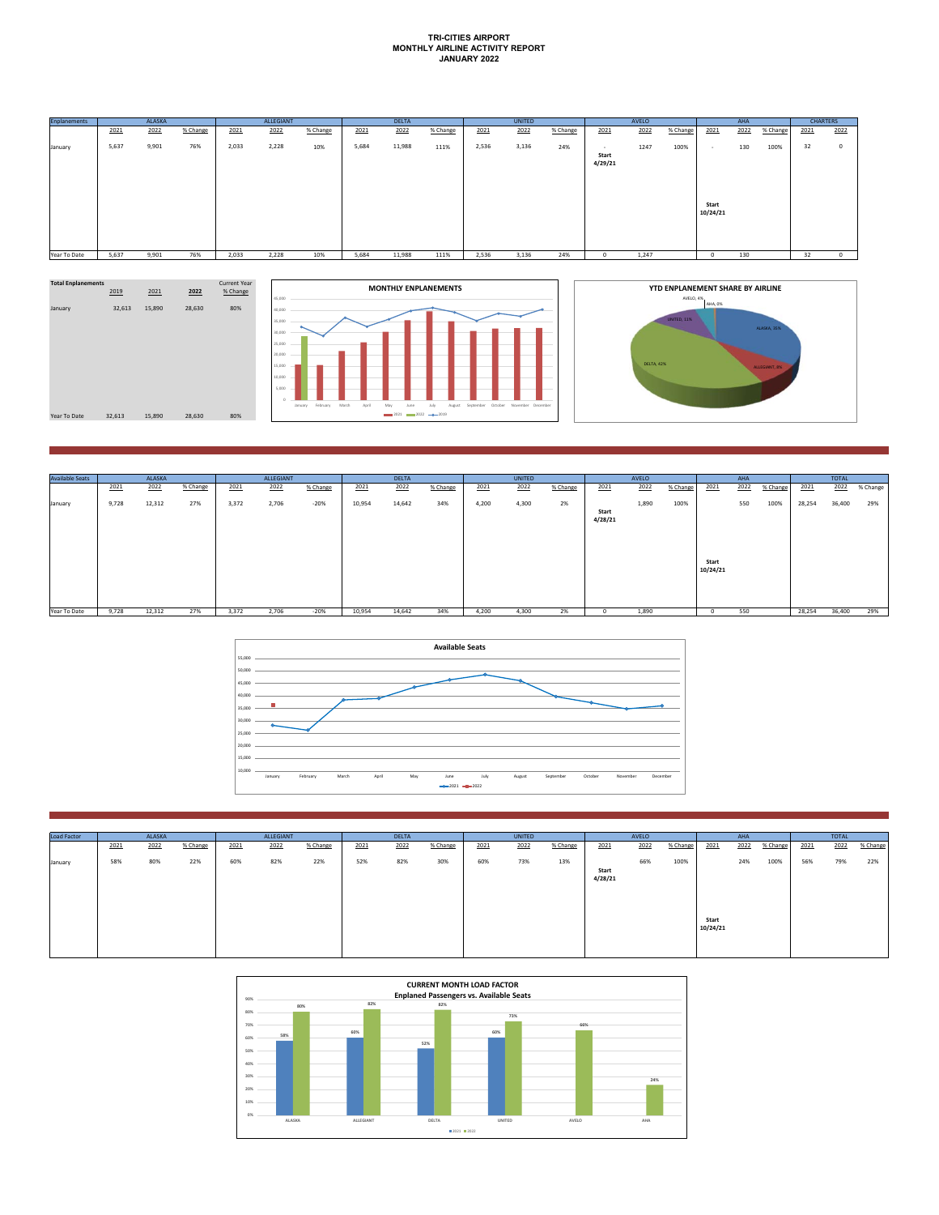## **TRI-CITIES AIRPORT MONTHLY AIRLINE ACTIVITY REPORT JANUARY 2022**

| <b>Enplanements</b> | <b>ALASKA</b> |       |          | ALLEGIANT |       |          | <b>DELTA</b> |        |          |       | UNITED |          |                            |       | AHA      | <b>CHARTERS</b>   |      |          |      |          |
|---------------------|---------------|-------|----------|-----------|-------|----------|--------------|--------|----------|-------|--------|----------|----------------------------|-------|----------|-------------------|------|----------|------|----------|
|                     | 2021          | 2022  | % Change | 2021      | 2022  | % Change | 2021         | 2022   | % Change | 2021  | 2022   | % Change | 2021                       | 2022  | % Change | 2021              | 2022 | % Change | 2021 | 2022     |
| January             | 5,637         | 9,901 | 76%      | 2,033     | 2,228 | 10%      | 5,684        | 11,988 | 111%     | 2,536 | 3,136  | 24%      | $\sim$<br>Start<br>4/29/21 | 1247  | 100%     | . .               | 130  | 100%     | 32   | $\Omega$ |
|                     |               |       |          |           |       |          |              |        |          |       |        |          |                            |       |          | Start<br>10/24/21 |      |          |      |          |
| Year To Date        | 5,637         | 9,901 | 76%      | 2,033     | 2,228 | 10%      | 5,684        | 11,988 | 111%     | 2,536 | 3,136  | 24%      |                            | 1,247 |          |                   | 130  |          | 32   |          |





| <b>Available Seats</b> |       | ALASKA |          |       | ALLEGIANT |          |        | <b>DELTA</b> |          |       | UNITED |          |                  | AVELO |          |                   | AHA  |          |        | <b>TOTAL</b> |          |
|------------------------|-------|--------|----------|-------|-----------|----------|--------|--------------|----------|-------|--------|----------|------------------|-------|----------|-------------------|------|----------|--------|--------------|----------|
|                        | 2021  | 2022   | % Change | 2021  | 2022      | % Change | 2021   | 2022         | % Change | 2021  | 2022   | % Change | 2021             | 2022  | % Change | 2021              | 2022 | % Change | 2021   | 2022         | % Change |
| January                | 9,728 | 12,312 | 27%      | 3,372 | 2,706     | $-20%$   | 10,954 | 14,642       | 34%      | 4,200 | 4,300  | 2%       | Start<br>4/28/21 | 1,890 | 100%     | Start<br>10/24/21 | 550  | 100%     | 28,254 | 36,400       | 29%      |
| Year To Date           | 9,728 | 12,312 | 27%      | 3,372 | 2,706     | $-20%$   | 10,954 | 14,642       | 34%      | 4,200 | 4,300  | 2%       |                  | 1,890 |          |                   | 550  |          | 28,254 | 36,400       | 29%      |



| Load Factor | ALASKA                   |     | ALLEGIANT                |     |                          | <b>DELTA</b> |                          |     | UNITED       |     |          | AVELO        |                  |          | AHA  |                   |          | <b>TOTAL</b> |     |     |     |
|-------------|--------------------------|-----|--------------------------|-----|--------------------------|--------------|--------------------------|-----|--------------|-----|----------|--------------|------------------|----------|------|-------------------|----------|--------------|-----|-----|-----|
|             | 2021<br>2022<br>% Change |     | 2022<br>% Change<br>2021 |     | 2022<br>2021<br>% Change |              | 2022<br>% Change<br>2021 |     | 2022<br>2021 |     | % Change | 2022<br>2021 |                  | % Change | 2021 | 2022              | % Change |              |     |     |     |
| January     | 58%                      | 80% | 22%                      | 60% | 82%                      | 22%          | 52%                      | 82% | 30%          | 60% | 73%      | 13%          | Start<br>4/28/21 | 66%      | 100% |                   | 24%      | 100%         | 56% | 79% | 22% |
|             |                          |     |                          |     |                          |              |                          |     |              |     |          |              |                  |          |      | Start<br>10/24/21 |          |              |     |     |     |